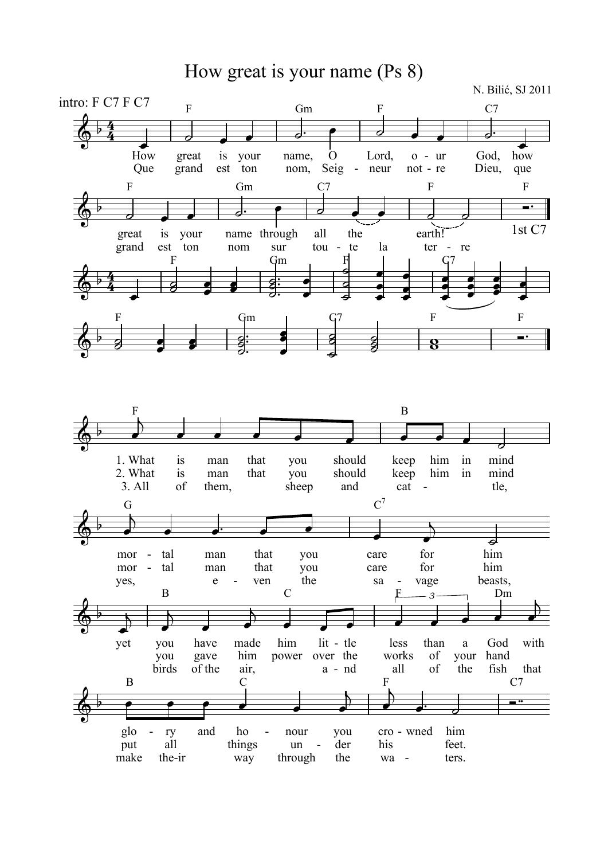